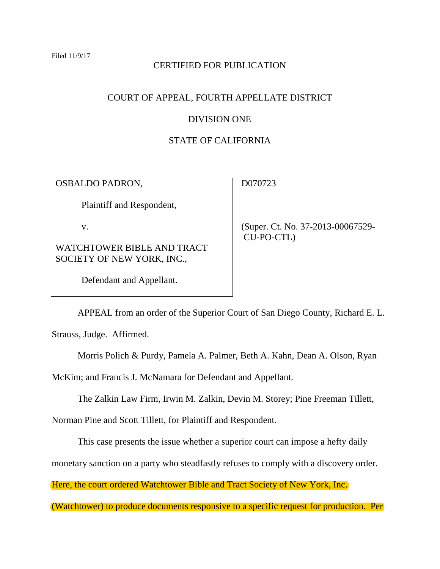# CERTIFIED FOR PUBLICATION

## COURT OF APPEAL, FOURTH APPELLATE DISTRICT

### DIVISION ONE

### STATE OF CALIFORNIA

OSBALDO PADRON,

D070723

Plaintiff and Respondent,

v.

WATCHTOWER BIBLE AND TRACT SOCIETY OF NEW YORK, INC.,

Defendant and Appellant.

 (Super. Ct. No. 37-2013-00067529- CU-PO-CTL)

APPEAL from an order of the Superior Court of San Diego County, Richard E. L.

Strauss, Judge. Affirmed.

Morris Polich & Purdy, Pamela A. Palmer, Beth A. Kahn, Dean A. Olson, Ryan

McKim; and Francis J. McNamara for Defendant and Appellant.

The Zalkin Law Firm, Irwin M. Zalkin, Devin M. Storey; Pine Freeman Tillett,

Norman Pine and Scott Tillett, for Plaintiff and Respondent.

This case presents the issue whether a superior court can impose a hefty daily

monetary sanction on a party who steadfastly refuses to comply with a discovery order.

Here, the court ordered Watchtower Bible and Tract Society of New York, Inc.

(Watchtower) to produce documents responsive to a specific request for production. Per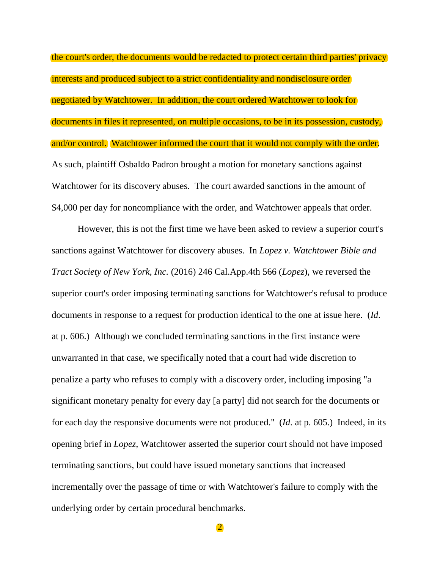the court's order, the documents would be redacted to protect certain third parties' privacy interests and produced subject to a strict confidentiality and nondisclosure order negotiated by Watchtower. In addition, the court ordered Watchtower to look for documents in files it represented, on multiple occasions, to be in its possession, custody, and/or control. Watchtower informed the court that it would not comply with the order. As such, plaintiff Osbaldo Padron brought a motion for monetary sanctions against Watchtower for its discovery abuses. The court awarded sanctions in the amount of \$4,000 per day for noncompliance with the order, and Watchtower appeals that order.

However, this is not the first time we have been asked to review a superior court's sanctions against Watchtower for discovery abuses. In *Lopez v. Watchtower Bible and Tract Society of New York, Inc.* (2016) 246 Cal.App.4th 566 (*Lopez*), we reversed the superior court's order imposing terminating sanctions for Watchtower's refusal to produce documents in response to a request for production identical to the one at issue here. (*Id*. at p. 606.) Although we concluded terminating sanctions in the first instance were unwarranted in that case, we specifically noted that a court had wide discretion to penalize a party who refuses to comply with a discovery order, including imposing "a significant monetary penalty for every day [a party] did not search for the documents or for each day the responsive documents were not produced." (*Id*. at p. 605.) Indeed, in its opening brief in *Lopez*, Watchtower asserted the superior court should not have imposed terminating sanctions, but could have issued monetary sanctions that increased incrementally over the passage of time or with Watchtower's failure to comply with the underlying order by certain procedural benchmarks.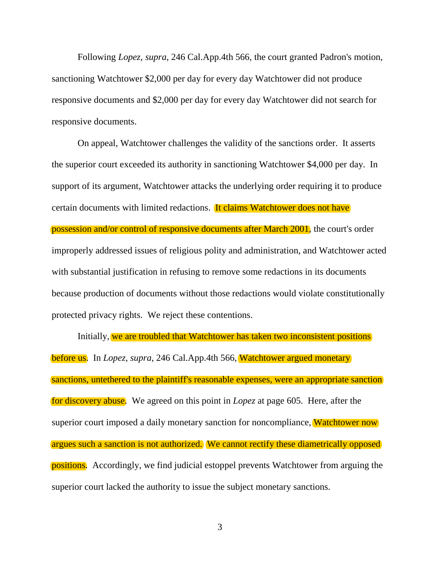Following *Lopez*, *supra*, 246 Cal.App.4th 566, the court granted Padron's motion, sanctioning Watchtower \$2,000 per day for every day Watchtower did not produce responsive documents and \$2,000 per day for every day Watchtower did not search for responsive documents.

On appeal, Watchtower challenges the validity of the sanctions order. It asserts the superior court exceeded its authority in sanctioning Watchtower \$4,000 per day. In support of its argument, Watchtower attacks the underlying order requiring it to produce certain documents with limited redactions. It claims Watchtower does not have possession and/or control of responsive documents after March 2001, the court's order improperly addressed issues of religious polity and administration, and Watchtower acted with substantial justification in refusing to remove some redactions in its documents because production of documents without those redactions would violate constitutionally protected privacy rights. We reject these contentions.

Initially, we are troubled that Watchtower has taken two inconsistent positions before us. In *Lopez*, *supra*, 246 Cal.App.4th 566, Watchtower argued monetary sanctions, untethered to the plaintiff's reasonable expenses, were an appropriate sanction for discovery abuse. We agreed on this point in *Lopez* at page 605. Here, after the superior court imposed a daily monetary sanction for noncompliance, Watchtower now argues such a sanction is not authorized. We cannot rectify these diametrically opposed positions. Accordingly, we find judicial estoppel prevents Watchtower from arguing the superior court lacked the authority to issue the subject monetary sanctions.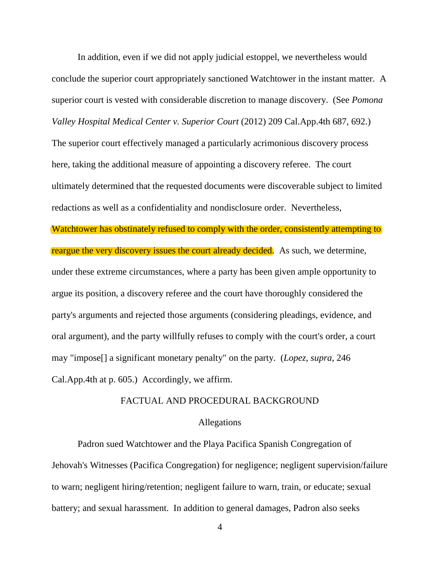In addition, even if we did not apply judicial estoppel, we nevertheless would conclude the superior court appropriately sanctioned Watchtower in the instant matter. A superior court is vested with considerable discretion to manage discovery. (See *Pomona Valley Hospital Medical Center v. Superior Court* (2012) 209 Cal.App.4th 687, 692.) The superior court effectively managed a particularly acrimonious discovery process here, taking the additional measure of appointing a discovery referee. The court ultimately determined that the requested documents were discoverable subject to limited redactions as well as a confidentiality and nondisclosure order. Nevertheless, Watchtower has obstinately refused to comply with the order, consistently attempting to reargue the very discovery issues the court already decided. As such, we determine, under these extreme circumstances, where a party has been given ample opportunity to argue its position, a discovery referee and the court have thoroughly considered the party's arguments and rejected those arguments (considering pleadings, evidence, and oral argument), and the party willfully refuses to comply with the court's order, a court may "impose[] a significant monetary penalty" on the party. (*Lopez*, *supra*, 246 Cal.App.4th at p. 605.) Accordingly, we affirm.

### FACTUAL AND PROCEDURAL BACKGROUND

#### Allegations

Padron sued Watchtower and the Playa Pacifica Spanish Congregation of Jehovah's Witnesses (Pacifica Congregation) for negligence; negligent supervision/failure to warn; negligent hiring/retention; negligent failure to warn, train, or educate; sexual battery; and sexual harassment. In addition to general damages, Padron also seeks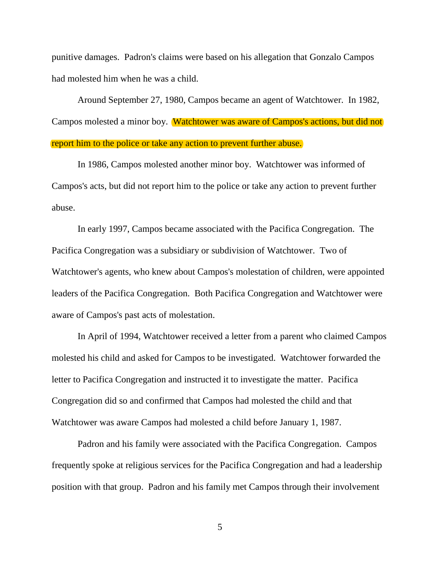punitive damages. Padron's claims were based on his allegation that Gonzalo Campos had molested him when he was a child.

Around September 27, 1980, Campos became an agent of Watchtower. In 1982, Campos molested a minor boy. Watchtower was aware of Campos's actions, but did not report him to the police or take any action to prevent further abuse.

In 1986, Campos molested another minor boy. Watchtower was informed of Campos's acts, but did not report him to the police or take any action to prevent further abuse.

In early 1997, Campos became associated with the Pacifica Congregation. The Pacifica Congregation was a subsidiary or subdivision of Watchtower. Two of Watchtower's agents, who knew about Campos's molestation of children, were appointed leaders of the Pacifica Congregation. Both Pacifica Congregation and Watchtower were aware of Campos's past acts of molestation.

In April of 1994, Watchtower received a letter from a parent who claimed Campos molested his child and asked for Campos to be investigated. Watchtower forwarded the letter to Pacifica Congregation and instructed it to investigate the matter. Pacifica Congregation did so and confirmed that Campos had molested the child and that Watchtower was aware Campos had molested a child before January 1, 1987.

Padron and his family were associated with the Pacifica Congregation. Campos frequently spoke at religious services for the Pacifica Congregation and had a leadership position with that group. Padron and his family met Campos through their involvement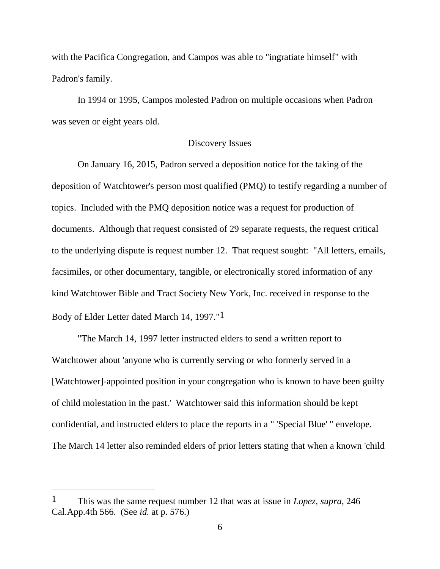with the Pacifica Congregation, and Campos was able to "ingratiate himself" with Padron's family.

In 1994 or 1995, Campos molested Padron on multiple occasions when Padron was seven or eight years old.

### Discovery Issues

On January 16, 2015, Padron served a deposition notice for the taking of the deposition of Watchtower's person most qualified (PMQ) to testify regarding a number of topics. Included with the PMQ deposition notice was a request for production of documents. Although that request consisted of 29 separate requests, the request critical to the underlying dispute is request number 12. That request sought: "All letters, emails, facsimiles, or other documentary, tangible, or electronically stored information of any kind Watchtower Bible and Tract Society New York, Inc. received in response to the Body of Elder Letter dated March 14, 1997."1

"The March 14, 1997 letter instructed elders to send a written report to Watchtower about 'anyone who is currently serving or who formerly served in a [Watchtower]-appointed position in your congregation who is known to have been guilty of child molestation in the past.' Watchtower said this information should be kept confidential, and instructed elders to place the reports in a " 'Special Blue' " envelope. The March 14 letter also reminded elders of prior letters stating that when a known 'child

 $\overline{a}$ 

<sup>1</sup> This was the same request number 12 that was at issue in *Lopez*, *supra*, 246 Cal.App.4th 566. (See *id.* at p. 576.)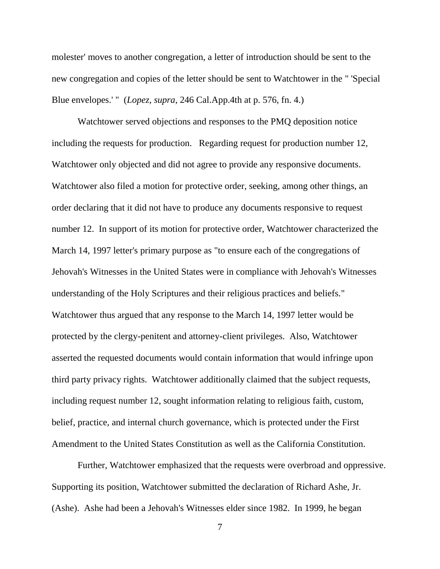molester' moves to another congregation, a letter of introduction should be sent to the new congregation and copies of the letter should be sent to Watchtower in the " 'Special Blue envelopes.' " (*Lopez*, *supra*, 246 Cal.App.4th at p. 576, fn. 4.)

Watchtower served objections and responses to the PMQ deposition notice including the requests for production. Regarding request for production number 12, Watchtower only objected and did not agree to provide any responsive documents. Watchtower also filed a motion for protective order, seeking, among other things, an order declaring that it did not have to produce any documents responsive to request number 12. In support of its motion for protective order, Watchtower characterized the March 14, 1997 letter's primary purpose as "to ensure each of the congregations of Jehovah's Witnesses in the United States were in compliance with Jehovah's Witnesses understanding of the Holy Scriptures and their religious practices and beliefs." Watchtower thus argued that any response to the March 14, 1997 letter would be protected by the clergy-penitent and attorney-client privileges. Also, Watchtower asserted the requested documents would contain information that would infringe upon third party privacy rights. Watchtower additionally claimed that the subject requests, including request number 12, sought information relating to religious faith, custom, belief, practice, and internal church governance, which is protected under the First Amendment to the United States Constitution as well as the California Constitution.

Further, Watchtower emphasized that the requests were overbroad and oppressive. Supporting its position, Watchtower submitted the declaration of Richard Ashe, Jr. (Ashe). Ashe had been a Jehovah's Witnesses elder since 1982. In 1999, he began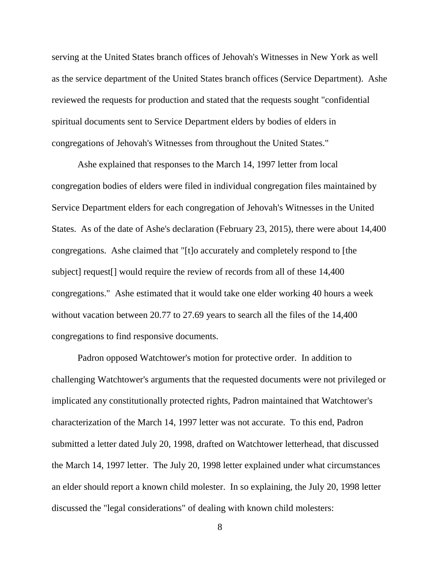serving at the United States branch offices of Jehovah's Witnesses in New York as well as the service department of the United States branch offices (Service Department). Ashe reviewed the requests for production and stated that the requests sought "confidential spiritual documents sent to Service Department elders by bodies of elders in congregations of Jehovah's Witnesses from throughout the United States."

Ashe explained that responses to the March 14, 1997 letter from local congregation bodies of elders were filed in individual congregation files maintained by Service Department elders for each congregation of Jehovah's Witnesses in the United States. As of the date of Ashe's declaration (February 23, 2015), there were about 14,400 congregations. Ashe claimed that "[t]o accurately and completely respond to [the subject] request[] would require the review of records from all of these 14,400 congregations." Ashe estimated that it would take one elder working 40 hours a week without vacation between 20.77 to 27.69 years to search all the files of the 14,400 congregations to find responsive documents.

Padron opposed Watchtower's motion for protective order. In addition to challenging Watchtower's arguments that the requested documents were not privileged or implicated any constitutionally protected rights, Padron maintained that Watchtower's characterization of the March 14, 1997 letter was not accurate. To this end, Padron submitted a letter dated July 20, 1998, drafted on Watchtower letterhead, that discussed the March 14, 1997 letter. The July 20, 1998 letter explained under what circumstances an elder should report a known child molester. In so explaining, the July 20, 1998 letter discussed the "legal considerations" of dealing with known child molesters: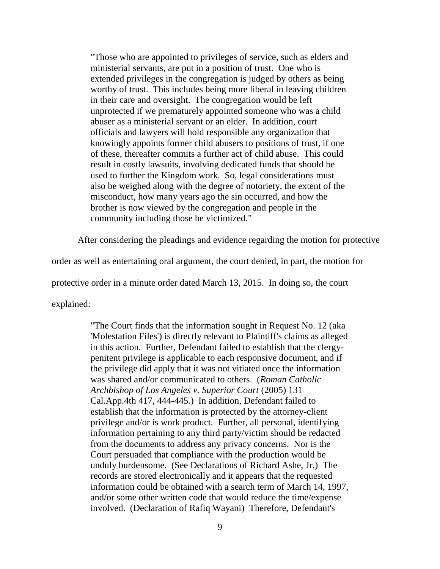"Those who are appointed to privileges of service, such as elders and ministerial servants, are put in a position of trust. One who is extended privileges in the congregation is judged by others as being worthy of trust. This includes being more liberal in leaving children in their care and oversight. The congregation would be left unprotected if we prematurely appointed someone who was a child abuser as a ministerial servant or an elder. In addition, court officials and lawyers will hold responsible any organization that knowingly appoints former child abusers to positions of trust, if one of these, thereafter commits a further act of child abuse. This could result in costly lawsuits, involving dedicated funds that should be used to further the Kingdom work. So, legal considerations must also be weighed along with the degree of notoriety, the extent of the misconduct, how many years ago the sin occurred, and how the brother is now viewed by the congregation and people in the community including those he victimized."

After considering the pleadings and evidence regarding the motion for protective

order as well as entertaining oral argument, the court denied, in part, the motion for

protective order in a minute order dated March 13, 2015. In doing so, the court

explained:

"The Court finds that the information sought in Request No. 12 (aka 'Molestation Files') is directly relevant to Plaintiff's claims as alleged in this action. Further, Defendant failed to establish that the clergypenitent privilege is applicable to each responsive document, and if the privilege did apply that it was not vitiated once the information was shared and/or communicated to others. (*Roman Catholic Archbishop of Los Angeles v. Superior Court* (2005) 131 Cal.App.4th 417, 444-445.) In addition, Defendant failed to establish that the information is protected by the attorney-client privilege and/or is work product. Further, all personal, identifying information pertaining to any third party/victim should be redacted from the documents to address any privacy concerns. Nor is the Court persuaded that compliance with the production would be unduly burdensome. (See Declarations of Richard Ashe, Jr.) The records are stored electronically and it appears that the requested information could be obtained with a search term of March 14, 1997, and/or some other written code that would reduce the time/expense involved. (Declaration of Rafiq Wayani) Therefore, Defendant's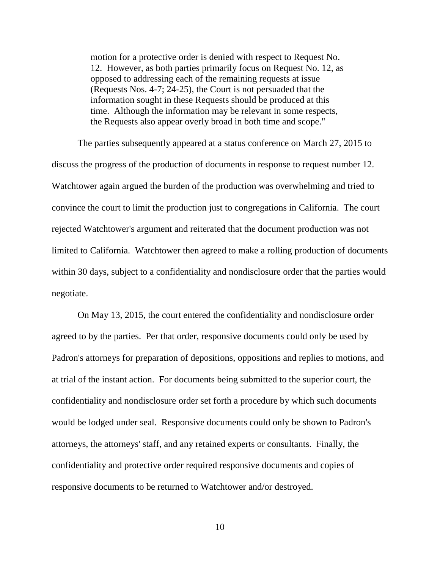motion for a protective order is denied with respect to Request No. 12. However, as both parties primarily focus on Request No. 12, as opposed to addressing each of the remaining requests at issue (Requests Nos. 4-7; 24-25), the Court is not persuaded that the information sought in these Requests should be produced at this time. Although the information may be relevant in some respects, the Requests also appear overly broad in both time and scope."

The parties subsequently appeared at a status conference on March 27, 2015 to discuss the progress of the production of documents in response to request number 12. Watchtower again argued the burden of the production was overwhelming and tried to convince the court to limit the production just to congregations in California. The court rejected Watchtower's argument and reiterated that the document production was not limited to California. Watchtower then agreed to make a rolling production of documents within 30 days, subject to a confidentiality and nondisclosure order that the parties would negotiate.

On May 13, 2015, the court entered the confidentiality and nondisclosure order agreed to by the parties. Per that order, responsive documents could only be used by Padron's attorneys for preparation of depositions, oppositions and replies to motions, and at trial of the instant action. For documents being submitted to the superior court, the confidentiality and nondisclosure order set forth a procedure by which such documents would be lodged under seal. Responsive documents could only be shown to Padron's attorneys, the attorneys' staff, and any retained experts or consultants. Finally, the confidentiality and protective order required responsive documents and copies of responsive documents to be returned to Watchtower and/or destroyed.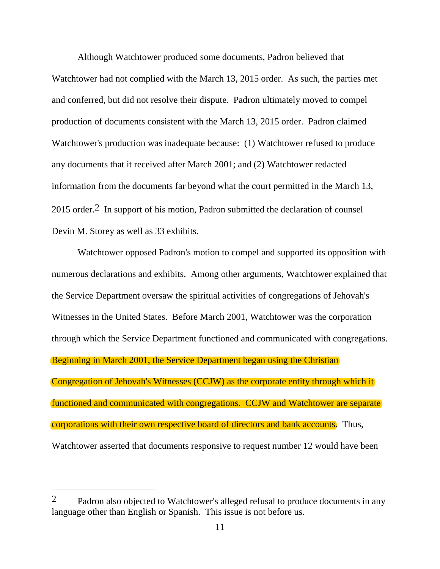Although Watchtower produced some documents, Padron believed that Watchtower had not complied with the March 13, 2015 order. As such, the parties met and conferred, but did not resolve their dispute. Padron ultimately moved to compel production of documents consistent with the March 13, 2015 order. Padron claimed Watchtower's production was inadequate because: (1) Watchtower refused to produce any documents that it received after March 2001; and (2) Watchtower redacted information from the documents far beyond what the court permitted in the March 13, 2015 order.2 In support of his motion, Padron submitted the declaration of counsel Devin M. Storey as well as 33 exhibits.

Watchtower opposed Padron's motion to compel and supported its opposition with numerous declarations and exhibits. Among other arguments, Watchtower explained that the Service Department oversaw the spiritual activities of congregations of Jehovah's Witnesses in the United States. Before March 2001, Watchtower was the corporation through which the Service Department functioned and communicated with congregations. Beginning in March 2001, the Service Department began using the Christian Congregation of Jehovah's Witnesses (CCJW) as the corporate entity through which it functioned and communicated with congregations. CCJW and Watchtower are separate corporations with their own respective board of directors and bank accounts. Thus, Watchtower asserted that documents responsive to request number 12 would have been

 $\overline{a}$ 

<sup>2</sup> Padron also objected to Watchtower's alleged refusal to produce documents in any language other than English or Spanish. This issue is not before us.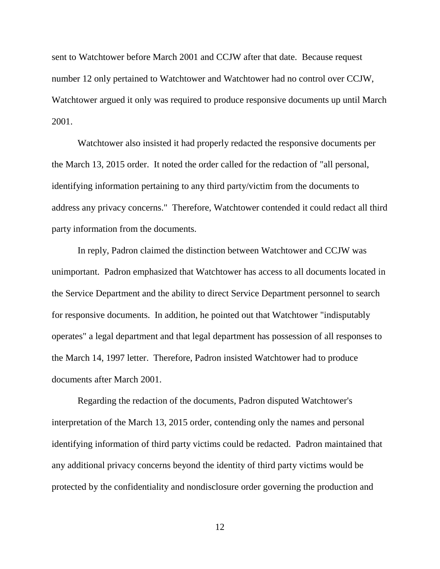sent to Watchtower before March 2001 and CCJW after that date. Because request number 12 only pertained to Watchtower and Watchtower had no control over CCJW, Watchtower argued it only was required to produce responsive documents up until March 2001.

Watchtower also insisted it had properly redacted the responsive documents per the March 13, 2015 order. It noted the order called for the redaction of "all personal, identifying information pertaining to any third party/victim from the documents to address any privacy concerns." Therefore, Watchtower contended it could redact all third party information from the documents.

In reply, Padron claimed the distinction between Watchtower and CCJW was unimportant. Padron emphasized that Watchtower has access to all documents located in the Service Department and the ability to direct Service Department personnel to search for responsive documents. In addition, he pointed out that Watchtower "indisputably operates" a legal department and that legal department has possession of all responses to the March 14, 1997 letter. Therefore, Padron insisted Watchtower had to produce documents after March 2001.

Regarding the redaction of the documents, Padron disputed Watchtower's interpretation of the March 13, 2015 order, contending only the names and personal identifying information of third party victims could be redacted. Padron maintained that any additional privacy concerns beyond the identity of third party victims would be protected by the confidentiality and nondisclosure order governing the production and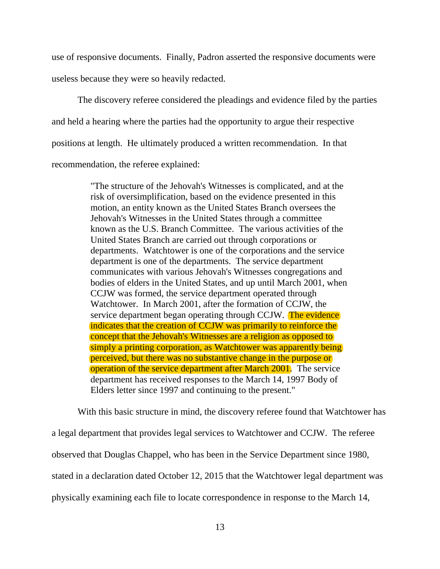use of responsive documents. Finally, Padron asserted the responsive documents were useless because they were so heavily redacted.

The discovery referee considered the pleadings and evidence filed by the parties and held a hearing where the parties had the opportunity to argue their respective positions at length. He ultimately produced a written recommendation. In that recommendation, the referee explained:

> "The structure of the Jehovah's Witnesses is complicated, and at the risk of oversimplification, based on the evidence presented in this motion, an entity known as the United States Branch oversees the Jehovah's Witnesses in the United States through a committee known as the U.S. Branch Committee. The various activities of the United States Branch are carried out through corporations or departments. Watchtower is one of the corporations and the service department is one of the departments. The service department communicates with various Jehovah's Witnesses congregations and bodies of elders in the United States, and up until March 2001, when CCJW was formed, the service department operated through Watchtower. In March 2001, after the formation of CCJW, the service department began operating through CCJW. The evidence indicates that the creation of CCJW was primarily to reinforce the concept that the Jehovah's Witnesses are a religion as opposed to simply a printing corporation, as Watchtower was apparently being perceived, but there was no substantive change in the purpose or operation of the service department after March 2001. The service department has received responses to the March 14, 1997 Body of Elders letter since 1997 and continuing to the present."

With this basic structure in mind, the discovery referee found that Watchtower has a legal department that provides legal services to Watchtower and CCJW. The referee observed that Douglas Chappel, who has been in the Service Department since 1980, stated in a declaration dated October 12, 2015 that the Watchtower legal department was physically examining each file to locate correspondence in response to the March 14,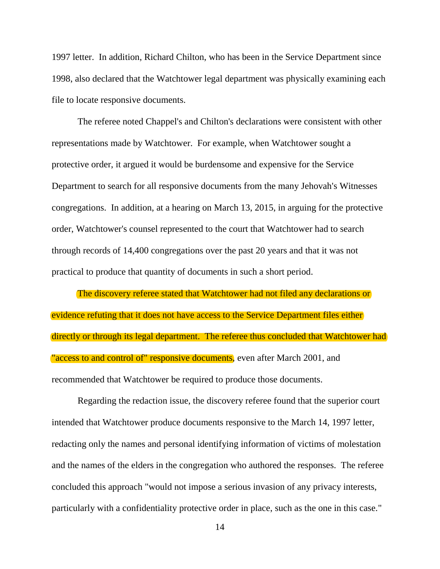1997 letter. In addition, Richard Chilton, who has been in the Service Department since 1998, also declared that the Watchtower legal department was physically examining each file to locate responsive documents.

The referee noted Chappel's and Chilton's declarations were consistent with other representations made by Watchtower. For example, when Watchtower sought a protective order, it argued it would be burdensome and expensive for the Service Department to search for all responsive documents from the many Jehovah's Witnesses congregations. In addition, at a hearing on March 13, 2015, in arguing for the protective order, Watchtower's counsel represented to the court that Watchtower had to search through records of 14,400 congregations over the past 20 years and that it was not practical to produce that quantity of documents in such a short period.

The discovery referee stated that Watchtower had not filed any declarations or evidence refuting that it does not have access to the Service Department files either directly or through its legal department. The referee thus concluded that Watchtower had "access to and control of" responsive documents, even after March 2001, and recommended that Watchtower be required to produce those documents.

Regarding the redaction issue, the discovery referee found that the superior court intended that Watchtower produce documents responsive to the March 14, 1997 letter, redacting only the names and personal identifying information of victims of molestation and the names of the elders in the congregation who authored the responses. The referee concluded this approach "would not impose a serious invasion of any privacy interests, particularly with a confidentiality protective order in place, such as the one in this case."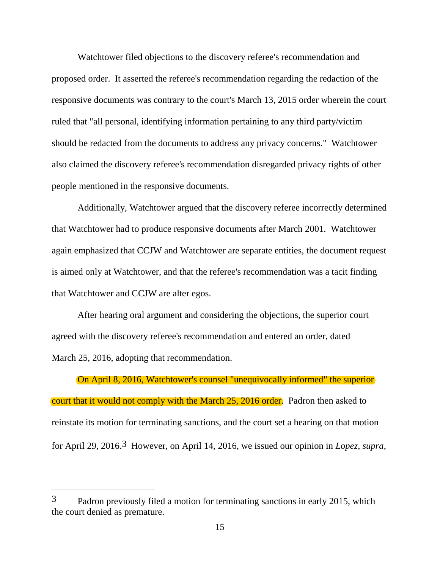Watchtower filed objections to the discovery referee's recommendation and proposed order. It asserted the referee's recommendation regarding the redaction of the responsive documents was contrary to the court's March 13, 2015 order wherein the court ruled that "all personal, identifying information pertaining to any third party/victim should be redacted from the documents to address any privacy concerns." Watchtower also claimed the discovery referee's recommendation disregarded privacy rights of other people mentioned in the responsive documents.

Additionally, Watchtower argued that the discovery referee incorrectly determined that Watchtower had to produce responsive documents after March 2001. Watchtower again emphasized that CCJW and Watchtower are separate entities, the document request is aimed only at Watchtower, and that the referee's recommendation was a tacit finding that Watchtower and CCJW are alter egos.

After hearing oral argument and considering the objections, the superior court agreed with the discovery referee's recommendation and entered an order, dated March 25, 2016, adopting that recommendation.

#### On April 8, 2016, Watchtower's counsel "unequivocally informed" the superior

court that it would not comply with the March 25, 2016 order. Padron then asked to reinstate its motion for terminating sanctions, and the court set a hearing on that motion for April 29, 2016.3 However, on April 14, 2016, we issued our opinion in *Lopez*, *supra*,

 $\overline{a}$ 

<sup>3</sup> Padron previously filed a motion for terminating sanctions in early 2015, which the court denied as premature.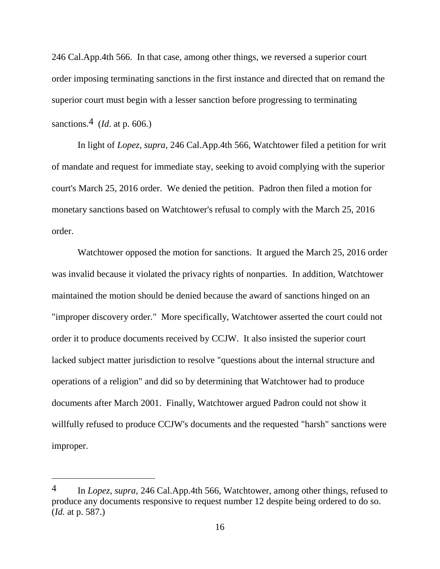246 Cal.App.4th 566. In that case, among other things, we reversed a superior court order imposing terminating sanctions in the first instance and directed that on remand the superior court must begin with a lesser sanction before progressing to terminating sanctions.4 (*Id*. at p. 606.)

In light of *Lopez, supra*, 246 Cal.App.4th 566, Watchtower filed a petition for writ of mandate and request for immediate stay, seeking to avoid complying with the superior court's March 25, 2016 order. We denied the petition. Padron then filed a motion for monetary sanctions based on Watchtower's refusal to comply with the March 25, 2016 order.

Watchtower opposed the motion for sanctions. It argued the March 25, 2016 order was invalid because it violated the privacy rights of nonparties. In addition, Watchtower maintained the motion should be denied because the award of sanctions hinged on an "improper discovery order." More specifically, Watchtower asserted the court could not order it to produce documents received by CCJW. It also insisted the superior court lacked subject matter jurisdiction to resolve "questions about the internal structure and operations of a religion" and did so by determining that Watchtower had to produce documents after March 2001. Finally, Watchtower argued Padron could not show it willfully refused to produce CCJW's documents and the requested "harsh" sanctions were improper.

<sup>4</sup> In *Lopez*, *supra,* 246 Cal.App.4th 566, Watchtower, among other things, refused to produce any documents responsive to request number 12 despite being ordered to do so. (*Id.* at p. 587.)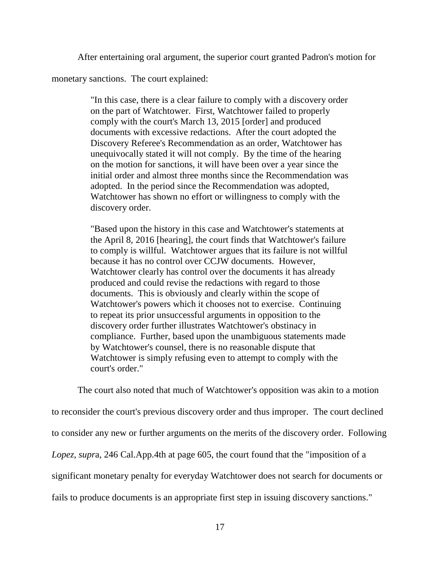After entertaining oral argument, the superior court granted Padron's motion for

monetary sanctions. The court explained:

"In this case, there is a clear failure to comply with a discovery order on the part of Watchtower. First, Watchtower failed to properly comply with the court's March 13, 2015 [order] and produced documents with excessive redactions. After the court adopted the Discovery Referee's Recommendation as an order, Watchtower has unequivocally stated it will not comply. By the time of the hearing on the motion for sanctions, it will have been over a year since the initial order and almost three months since the Recommendation was adopted. In the period since the Recommendation was adopted, Watchtower has shown no effort or willingness to comply with the discovery order.

"Based upon the history in this case and Watchtower's statements at the April 8, 2016 [hearing], the court finds that Watchtower's failure to comply is willful. Watchtower argues that its failure is not willful because it has no control over CCJW documents. However, Watchtower clearly has control over the documents it has already produced and could revise the redactions with regard to those documents. This is obviously and clearly within the scope of Watchtower's powers which it chooses not to exercise. Continuing to repeat its prior unsuccessful arguments in opposition to the discovery order further illustrates Watchtower's obstinacy in compliance. Further, based upon the unambiguous statements made by Watchtower's counsel, there is no reasonable dispute that Watchtower is simply refusing even to attempt to comply with the court's order."

The court also noted that much of Watchtower's opposition was akin to a motion to reconsider the court's previous discovery order and thus improper. The court declined to consider any new or further arguments on the merits of the discovery order. Following *Lopez*, *supr*a, 246 Cal.App.4th at page 605, the court found that the "imposition of a significant monetary penalty for everyday Watchtower does not search for documents or fails to produce documents is an appropriate first step in issuing discovery sanctions."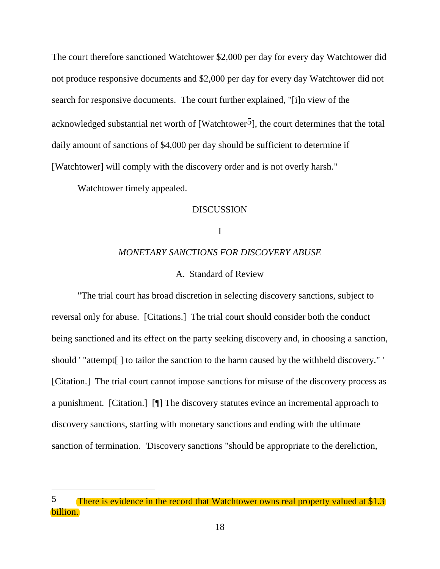The court therefore sanctioned Watchtower \$2,000 per day for every day Watchtower did not produce responsive documents and \$2,000 per day for every day Watchtower did not search for responsive documents. The court further explained, "[i]n view of the acknowledged substantial net worth of [Watchtower<sup>5</sup>], the court determines that the total daily amount of sanctions of \$4,000 per day should be sufficient to determine if [Watchtower] will comply with the discovery order and is not overly harsh."

Watchtower timely appealed.

 $\overline{a}$ 

## DISCUSSION

### I

#### *MONETARY SANCTIONS FOR DISCOVERY ABUSE*

### A. Standard of Review

"The trial court has broad discretion in selecting discovery sanctions, subject to reversal only for abuse. [Citations.] The trial court should consider both the conduct being sanctioned and its effect on the party seeking discovery and, in choosing a sanction, should ' "attempt[ ] to tailor the sanction to the harm caused by the withheld discovery." ' [Citation.] The trial court cannot impose sanctions for misuse of the discovery process as a punishment. [Citation.] [¶] The discovery statutes evince an incremental approach to discovery sanctions, starting with monetary sanctions and ending with the ultimate sanction of termination. 'Discovery sanctions "should be appropriate to the dereliction,

<sup>5</sup> There is evidence in the record that Watchtower owns real property valued at \$1.3 billion.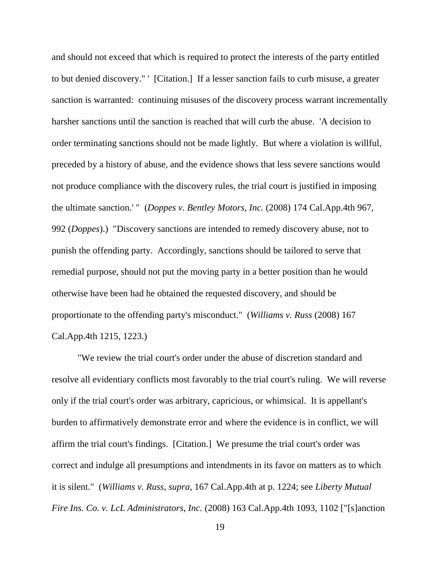and should not exceed that which is required to protect the interests of the party entitled to but denied discovery." ' [Citation.] If a lesser sanction fails to curb misuse, a greater sanction is warranted: continuing misuses of the discovery process warrant incrementally harsher sanctions until the sanction is reached that will curb the abuse. 'A decision to order terminating sanctions should not be made lightly. But where a violation is willful, preceded by a history of abuse, and the evidence shows that less severe sanctions would not produce compliance with the discovery rules, the trial court is justified in imposing the ultimate sanction.' " (*Doppes v. Bentley Motors, Inc.* (2008) 174 Cal.App.4th 967, 992 (*Doppes*).) "Discovery sanctions are intended to remedy discovery abuse, not to punish the offending party. Accordingly, sanctions should be tailored to serve that remedial purpose, should not put the moving party in a better position than he would otherwise have been had he obtained the requested discovery, and should be proportionate to the offending party's misconduct." (*Williams v. Russ* (2008) 167 Cal.App.4th 1215, 1223.)

"We review the trial court's order under the abuse of discretion standard and resolve all evidentiary conflicts most favorably to the trial court's ruling. We will reverse only if the trial court's order was arbitrary, capricious, or whimsical. It is appellant's burden to affirmatively demonstrate error and where the evidence is in conflict, we will affirm the trial court's findings. [Citation.] We presume the trial court's order was correct and indulge all presumptions and intendments in its favor on matters as to which it is silent." (*Williams v. Russ*, *supra*, 167 Cal.App.4th at p. 1224; see *Liberty Mutual Fire Ins. Co. v. LcL Administrators, Inc.* (2008) 163 Cal.App.4th 1093, 1102 ["[s]anction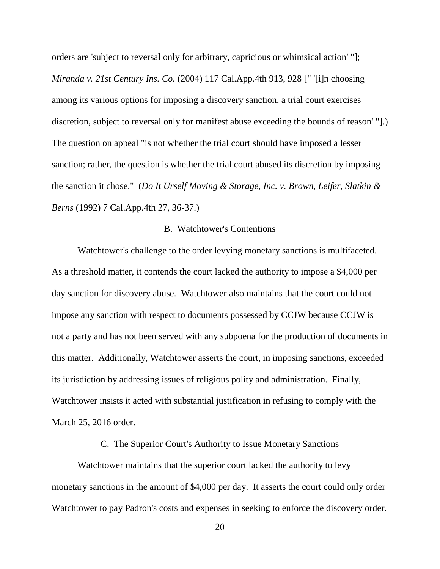orders are 'subject to reversal only for arbitrary, capricious or whimsical action' "]; *Miranda v. 21st Century Ins. Co.* (2004) 117 Cal.App.4th 913, 928 [" '[i]n choosing among its various options for imposing a discovery sanction, a trial court exercises discretion, subject to reversal only for manifest abuse exceeding the bounds of reason' "].) The question on appeal "is not whether the trial court should have imposed a lesser sanction; rather, the question is whether the trial court abused its discretion by imposing the sanction it chose." (*Do It Urself Moving & Storage, Inc. v. Brown, Leifer, Slatkin & Berns* (1992) 7 Cal.App.4th 27, 36-37.)

### B. Watchtower's Contentions

Watchtower's challenge to the order levying monetary sanctions is multifaceted. As a threshold matter, it contends the court lacked the authority to impose a \$4,000 per day sanction for discovery abuse. Watchtower also maintains that the court could not impose any sanction with respect to documents possessed by CCJW because CCJW is not a party and has not been served with any subpoena for the production of documents in this matter. Additionally, Watchtower asserts the court, in imposing sanctions, exceeded its jurisdiction by addressing issues of religious polity and administration. Finally, Watchtower insists it acted with substantial justification in refusing to comply with the March 25, 2016 order.

C. The Superior Court's Authority to Issue Monetary Sanctions

Watchtower maintains that the superior court lacked the authority to levy monetary sanctions in the amount of \$4,000 per day. It asserts the court could only order Watchtower to pay Padron's costs and expenses in seeking to enforce the discovery order.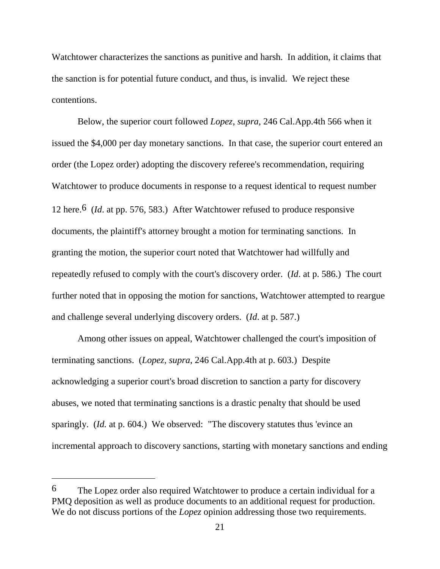Watchtower characterizes the sanctions as punitive and harsh. In addition, it claims that the sanction is for potential future conduct, and thus, is invalid. We reject these contentions.

Below, the superior court followed *Lopez*, *supra*, 246 Cal.App.4th 566 when it issued the \$4,000 per day monetary sanctions. In that case, the superior court entered an order (the Lopez order) adopting the discovery referee's recommendation, requiring Watchtower to produce documents in response to a request identical to request number 12 here.6 (*Id*. at pp. 576, 583.) After Watchtower refused to produce responsive documents, the plaintiff's attorney brought a motion for terminating sanctions. In granting the motion, the superior court noted that Watchtower had willfully and repeatedly refused to comply with the court's discovery order. (*Id*. at p. 586.) The court further noted that in opposing the motion for sanctions, Watchtower attempted to reargue and challenge several underlying discovery orders. (*Id*. at p. 587.)

Among other issues on appeal, Watchtower challenged the court's imposition of terminating sanctions. (*Lopez*, *supra*, 246 Cal.App.4th at p. 603.) Despite acknowledging a superior court's broad discretion to sanction a party for discovery abuses, we noted that terminating sanctions is a drastic penalty that should be used sparingly. (*Id.* at p. 604.) We observed: "The discovery statutes thus 'evince an incremental approach to discovery sanctions, starting with monetary sanctions and ending

<sup>6</sup> The Lopez order also required Watchtower to produce a certain individual for a PMQ deposition as well as produce documents to an additional request for production. We do not discuss portions of the *Lopez* opinion addressing those two requirements.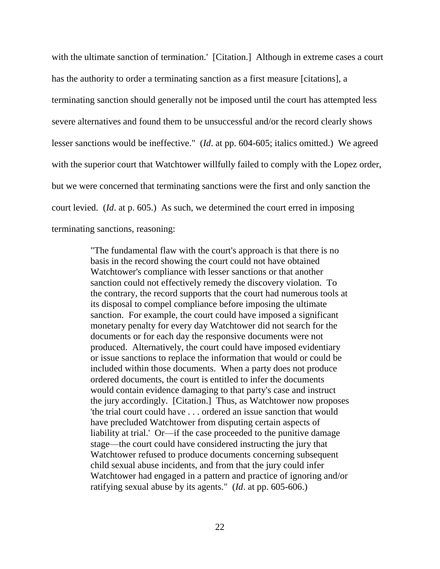with the ultimate sanction of termination.' [Citation.] Although in extreme cases a court has the authority to order a terminating sanction as a first measure [citations], a terminating sanction should generally not be imposed until the court has attempted less severe alternatives and found them to be unsuccessful and/or the record clearly shows lesser sanctions would be ineffective." (*Id*. at pp. 604-605; italics omitted.) We agreed with the superior court that Watchtower willfully failed to comply with the Lopez order, but we were concerned that terminating sanctions were the first and only sanction the court levied. (*Id*. at p. 605.) As such, we determined the court erred in imposing terminating sanctions, reasoning:

> "The fundamental flaw with the court's approach is that there is no basis in the record showing the court could not have obtained Watchtower's compliance with lesser sanctions or that another sanction could not effectively remedy the discovery violation. To the contrary, the record supports that the court had numerous tools at its disposal to compel compliance before imposing the ultimate sanction. For example, the court could have imposed a significant monetary penalty for every day Watchtower did not search for the documents or for each day the responsive documents were not produced. Alternatively, the court could have imposed evidentiary or issue sanctions to replace the information that would or could be included within those documents. When a party does not produce ordered documents, the court is entitled to infer the documents would contain evidence damaging to that party's case and instruct the jury accordingly. [Citation.] Thus, as Watchtower now proposes 'the trial court could have . . . ordered an issue sanction that would have precluded Watchtower from disputing certain aspects of liability at trial.' Or—if the case proceeded to the punitive damage stage—the court could have considered instructing the jury that Watchtower refused to produce documents concerning subsequent child sexual abuse incidents, and from that the jury could infer Watchtower had engaged in a pattern and practice of ignoring and/or ratifying sexual abuse by its agents." (*Id*. at pp. 605-606.)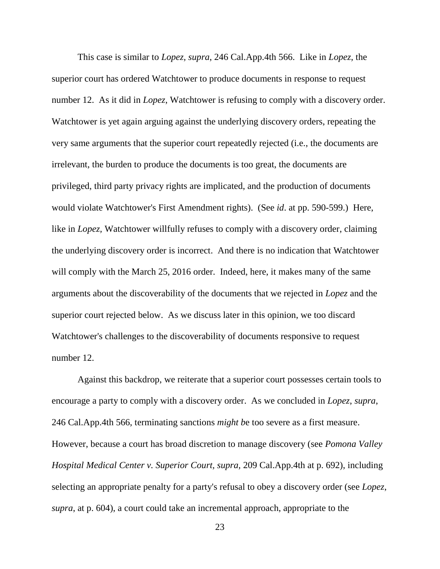This case is similar to *Lopez, supra*, 246 Cal.App.4th 566. Like in *Lopez*, the superior court has ordered Watchtower to produce documents in response to request number 12. As it did in *Lopez*, Watchtower is refusing to comply with a discovery order. Watchtower is yet again arguing against the underlying discovery orders, repeating the very same arguments that the superior court repeatedly rejected (i.e., the documents are irrelevant, the burden to produce the documents is too great, the documents are privileged, third party privacy rights are implicated, and the production of documents would violate Watchtower's First Amendment rights). (See *id*. at pp. 590-599.) Here, like in *Lopez,* Watchtower willfully refuses to comply with a discovery order, claiming the underlying discovery order is incorrect. And there is no indication that Watchtower will comply with the March 25, 2016 order. Indeed, here, it makes many of the same arguments about the discoverability of the documents that we rejected in *Lopez* and the superior court rejected below. As we discuss later in this opinion, we too discard Watchtower's challenges to the discoverability of documents responsive to request number 12.

Against this backdrop, we reiterate that a superior court possesses certain tools to encourage a party to comply with a discovery order. As we concluded in *Lopez*, *supra*, 246 Cal.App.4th 566, terminating sanctions *might b*e too severe as a first measure. However, because a court has broad discretion to manage discovery (see *Pomona Valley Hospital Medical Center v. Superior Court, supra,* 209 Cal.App.4th at p. 692), including selecting an appropriate penalty for a party's refusal to obey a discovery order (see *Lopez*, *supra*, at p. 604), a court could take an incremental approach, appropriate to the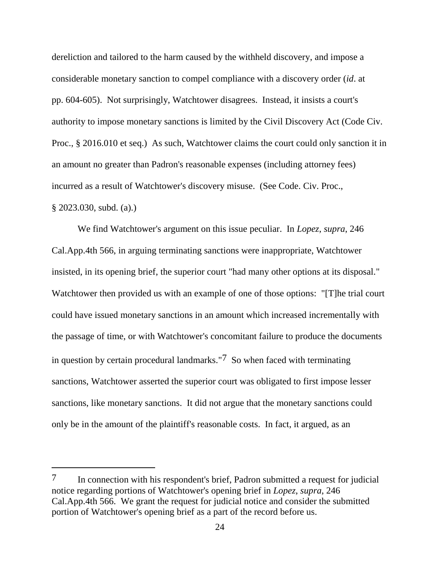dereliction and tailored to the harm caused by the withheld discovery, and impose a considerable monetary sanction to compel compliance with a discovery order (*id*. at pp. 604-605). Not surprisingly, Watchtower disagrees. Instead, it insists a court's authority to impose monetary sanctions is limited by the Civil Discovery Act (Code Civ. Proc., § 2016.010 et seq.) As such, Watchtower claims the court could only sanction it in an amount no greater than Padron's reasonable expenses (including attorney fees) incurred as a result of Watchtower's discovery misuse. (See Code. Civ. Proc., § 2023.030, subd. (a).)

We find Watchtower's argument on this issue peculiar. In *Lopez*, *supra*, 246 Cal.App.4th 566, in arguing terminating sanctions were inappropriate, Watchtower insisted, in its opening brief, the superior court "had many other options at its disposal." Watchtower then provided us with an example of one of those options: "[T]he trial court could have issued monetary sanctions in an amount which increased incrementally with the passage of time, or with Watchtower's concomitant failure to produce the documents in question by certain procedural landmarks."<sup>7</sup> So when faced with terminating sanctions, Watchtower asserted the superior court was obligated to first impose lesser sanctions, like monetary sanctions. It did not argue that the monetary sanctions could only be in the amount of the plaintiff's reasonable costs. In fact, it argued, as an

<sup>7</sup> In connection with his respondent's brief, Padron submitted a request for judicial notice regarding portions of Watchtower's opening brief in *Lopez*, *supra*, 246 Cal.App.4th 566. We grant the request for judicial notice and consider the submitted portion of Watchtower's opening brief as a part of the record before us.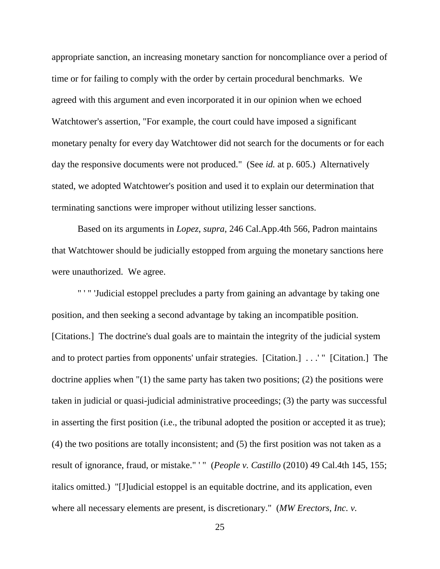appropriate sanction, an increasing monetary sanction for noncompliance over a period of time or for failing to comply with the order by certain procedural benchmarks. We agreed with this argument and even incorporated it in our opinion when we echoed Watchtower's assertion, "For example, the court could have imposed a significant monetary penalty for every day Watchtower did not search for the documents or for each day the responsive documents were not produced." (See *id.* at p. 605.) Alternatively stated, we adopted Watchtower's position and used it to explain our determination that terminating sanctions were improper without utilizing lesser sanctions.

Based on its arguments in *Lopez*, *supra*, 246 Cal.App.4th 566, Padron maintains that Watchtower should be judicially estopped from arguing the monetary sanctions here were unauthorized. We agree.

" ' " 'Judicial estoppel precludes a party from gaining an advantage by taking one position, and then seeking a second advantage by taking an incompatible position. [Citations.] The doctrine's dual goals are to maintain the integrity of the judicial system and to protect parties from opponents' unfair strategies. [Citation.] . . .' " [Citation.] The doctrine applies when "(1) the same party has taken two positions; (2) the positions were taken in judicial or quasi-judicial administrative proceedings; (3) the party was successful in asserting the first position (i.e., the tribunal adopted the position or accepted it as true); (4) the two positions are totally inconsistent; and (5) the first position was not taken as a result of ignorance, fraud, or mistake." ' " (*People v. Castillo* (2010) 49 Cal.4th 145, 155; italics omitted.) "[J]udicial estoppel is an equitable doctrine, and its application, even where all necessary elements are present, is discretionary." (*MW Erectors, Inc. v.*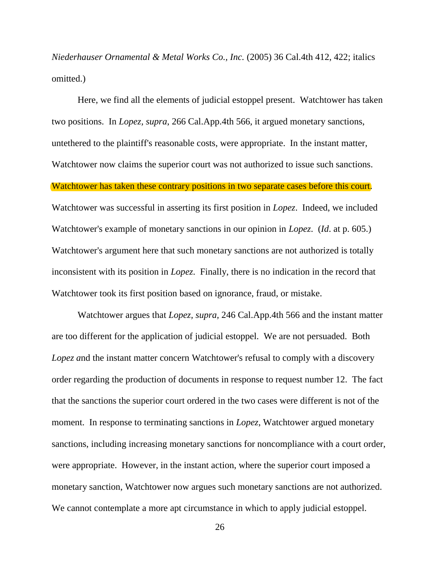*Niederhauser Ornamental & Metal Works Co., Inc.* (2005) 36 Cal.4th 412, 422; italics omitted.)

Here, we find all the elements of judicial estoppel present. Watchtower has taken two positions. In *Lopez, supra*, 266 Cal.App.4th 566, it argued monetary sanctions, untethered to the plaintiff's reasonable costs, were appropriate. In the instant matter, Watchtower now claims the superior court was not authorized to issue such sanctions. Watchtower has taken these contrary positions in two separate cases before this court. Watchtower was successful in asserting its first position in *Lopez*. Indeed, we included Watchtower's example of monetary sanctions in our opinion in *Lopez*. (*Id*. at p. 605.) Watchtower's argument here that such monetary sanctions are not authorized is totally inconsistent with its position in *Lopez*. Finally, there is no indication in the record that Watchtower took its first position based on ignorance, fraud, or mistake.

Watchtower argues that *Lopez, supra,* 246 Cal.App.4th 566 and the instant matter are too different for the application of judicial estoppel. We are not persuaded. Both *Lopez a*nd the instant matter concern Watchtower's refusal to comply with a discovery order regarding the production of documents in response to request number 12. The fact that the sanctions the superior court ordered in the two cases were different is not of the moment. In response to terminating sanctions in *Lopez*, Watchtower argued monetary sanctions, including increasing monetary sanctions for noncompliance with a court order, were appropriate. However, in the instant action, where the superior court imposed a monetary sanction, Watchtower now argues such monetary sanctions are not authorized. We cannot contemplate a more apt circumstance in which to apply judicial estoppel.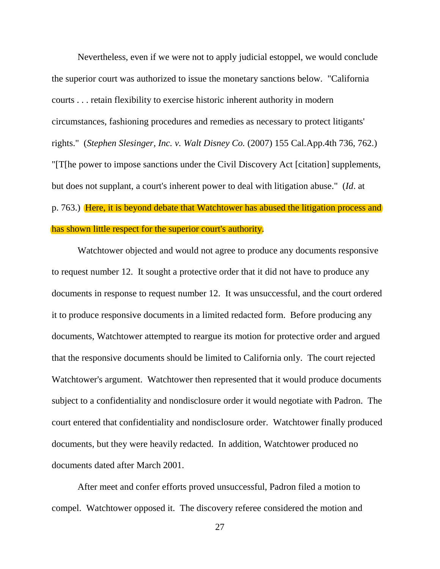Nevertheless, even if we were not to apply judicial estoppel, we would conclude the superior court was authorized to issue the monetary sanctions below. "California courts . . . retain flexibility to exercise historic inherent authority in modern circumstances, fashioning procedures and remedies as necessary to protect litigants' rights." (*Stephen Slesinger, Inc. v. Walt Disney Co.* (2007) 155 Cal.App.4th 736, 762.) "[T[he power to impose sanctions under the Civil Discovery Act [citation] supplements, but does not supplant, a court's inherent power to deal with litigation abuse." (*Id*. at p. 763.) Here, it is beyond debate that Watchtower has abused the litigation process and has shown little respect for the superior court's authority.

Watchtower objected and would not agree to produce any documents responsive to request number 12. It sought a protective order that it did not have to produce any documents in response to request number 12. It was unsuccessful, and the court ordered it to produce responsive documents in a limited redacted form. Before producing any documents, Watchtower attempted to reargue its motion for protective order and argued that the responsive documents should be limited to California only. The court rejected Watchtower's argument. Watchtower then represented that it would produce documents subject to a confidentiality and nondisclosure order it would negotiate with Padron. The court entered that confidentiality and nondisclosure order. Watchtower finally produced documents, but they were heavily redacted. In addition, Watchtower produced no documents dated after March 2001.

After meet and confer efforts proved unsuccessful, Padron filed a motion to compel. Watchtower opposed it. The discovery referee considered the motion and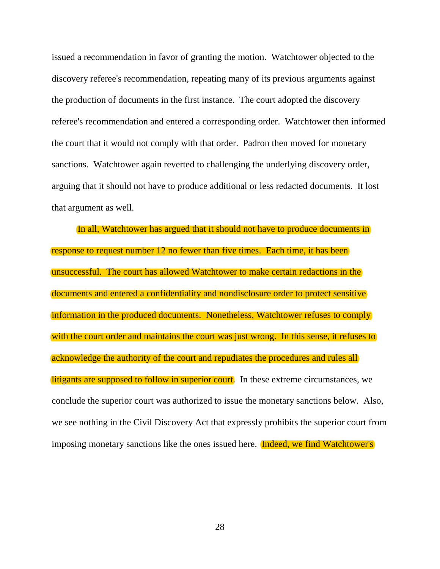issued a recommendation in favor of granting the motion. Watchtower objected to the discovery referee's recommendation, repeating many of its previous arguments against the production of documents in the first instance. The court adopted the discovery referee's recommendation and entered a corresponding order. Watchtower then informed the court that it would not comply with that order. Padron then moved for monetary sanctions. Watchtower again reverted to challenging the underlying discovery order, arguing that it should not have to produce additional or less redacted documents. It lost that argument as well.

In all, Watchtower has argued that it should not have to produce documents in response to request number 12 no fewer than five times. Each time, it has been unsuccessful. The court has allowed Watchtower to make certain redactions in the documents and entered a confidentiality and nondisclosure order to protect sensitive information in the produced documents. Nonetheless, Watchtower refuses to comply with the court order and maintains the court was just wrong. In this sense, it refuses to acknowledge the authority of the court and repudiates the procedures and rules all litigants are supposed to follow in superior court. In these extreme circumstances, we conclude the superior court was authorized to issue the monetary sanctions below. Also, we see nothing in the Civil Discovery Act that expressly prohibits the superior court from imposing monetary sanctions like the ones issued here. **Indeed, we find Watchtower's**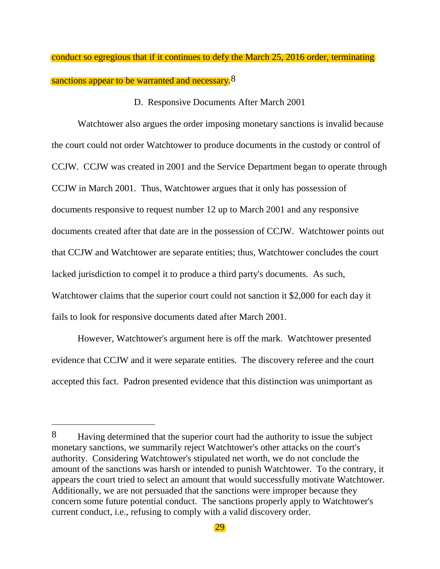conduct so egregious that if it continues to defy the March 25, 2016 order, terminating sanctions appear to be warranted and necessary.<sup>8</sup>

#### D. Responsive Documents After March 2001

Watchtower also argues the order imposing monetary sanctions is invalid because the court could not order Watchtower to produce documents in the custody or control of CCJW. CCJW was created in 2001 and the Service Department began to operate through CCJW in March 2001. Thus, Watchtower argues that it only has possession of documents responsive to request number 12 up to March 2001 and any responsive documents created after that date are in the possession of CCJW. Watchtower points out that CCJW and Watchtower are separate entities; thus, Watchtower concludes the court lacked jurisdiction to compel it to produce a third party's documents. As such, Watchtower claims that the superior court could not sanction it \$2,000 for each day it fails to look for responsive documents dated after March 2001.

However, Watchtower's argument here is off the mark. Watchtower presented evidence that CCJW and it were separate entities. The discovery referee and the court accepted this fact. Padron presented evidence that this distinction was unimportant as

 $\overline{a}$ 

<sup>8</sup> Having determined that the superior court had the authority to issue the subject monetary sanctions, we summarily reject Watchtower's other attacks on the court's authority. Considering Watchtower's stipulated net worth, we do not conclude the amount of the sanctions was harsh or intended to punish Watchtower. To the contrary, it appears the court tried to select an amount that would successfully motivate Watchtower. Additionally, we are not persuaded that the sanctions were improper because they concern some future potential conduct. The sanctions properly apply to Watchtower's current conduct, i.e., refusing to comply with a valid discovery order.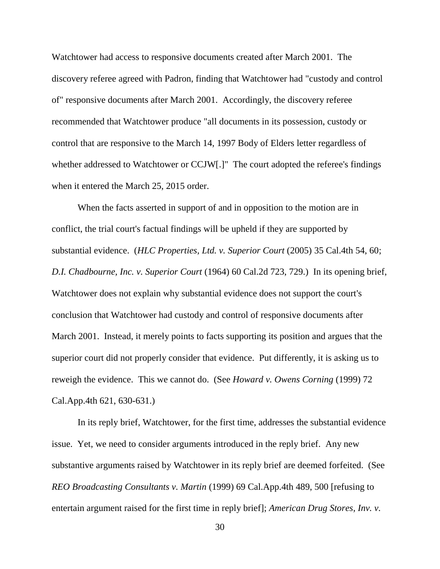Watchtower had access to responsive documents created after March 2001. The discovery referee agreed with Padron, finding that Watchtower had "custody and control of" responsive documents after March 2001. Accordingly, the discovery referee recommended that Watchtower produce "all documents in its possession, custody or control that are responsive to the March 14, 1997 Body of Elders letter regardless of whether addressed to Watchtower or CCJW[.]" The court adopted the referee's findings when it entered the March 25, 2015 order.

When the facts asserted in support of and in opposition to the motion are in conflict, the trial court's factual findings will be upheld if they are supported by substantial evidence. (*HLC Properties, Ltd. v. Superior Court* (2005) 35 Cal.4th 54, 60; *D.I. Chadbourne, Inc. v. Superior Court* (1964) 60 Cal.2d 723, 729.) In its opening brief, Watchtower does not explain why substantial evidence does not support the court's conclusion that Watchtower had custody and control of responsive documents after March 2001. Instead, it merely points to facts supporting its position and argues that the superior court did not properly consider that evidence. Put differently, it is asking us to reweigh the evidence. This we cannot do. (See *Howard v. Owens Corning* (1999) 72 Cal.App.4th 621, 630-631.)

In its reply brief, Watchtower, for the first time, addresses the substantial evidence issue. Yet, we need to consider arguments introduced in the reply brief. Any new substantive arguments raised by Watchtower in its reply brief are deemed forfeited. (See *REO Broadcasting Consultants v. Martin* (1999) 69 Cal.App.4th 489, 500 [refusing to entertain argument raised for the first time in reply brief]; *American Drug Stores, Inv. v.*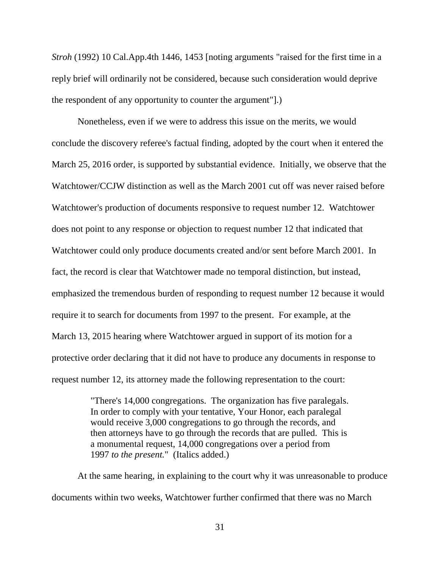*Stroh* (1992) 10 Cal.App.4th 1446, 1453 [noting arguments "raised for the first time in a reply brief will ordinarily not be considered, because such consideration would deprive the respondent of any opportunity to counter the argument"].)

Nonetheless, even if we were to address this issue on the merits, we would conclude the discovery referee's factual finding, adopted by the court when it entered the March 25, 2016 order, is supported by substantial evidence. Initially, we observe that the Watchtower/CCJW distinction as well as the March 2001 cut off was never raised before Watchtower's production of documents responsive to request number 12. Watchtower does not point to any response or objection to request number 12 that indicated that Watchtower could only produce documents created and/or sent before March 2001. In fact, the record is clear that Watchtower made no temporal distinction, but instead, emphasized the tremendous burden of responding to request number 12 because it would require it to search for documents from 1997 to the present. For example, at the March 13, 2015 hearing where Watchtower argued in support of its motion for a protective order declaring that it did not have to produce any documents in response to request number 12, its attorney made the following representation to the court:

> "There's 14,000 congregations. The organization has five paralegals. In order to comply with your tentative, Your Honor, each paralegal would receive 3,000 congregations to go through the records, and then attorneys have to go through the records that are pulled. This is a monumental request, 14,000 congregations over a period from 1997 *to the present.*" (Italics added.)

At the same hearing, in explaining to the court why it was unreasonable to produce documents within two weeks, Watchtower further confirmed that there was no March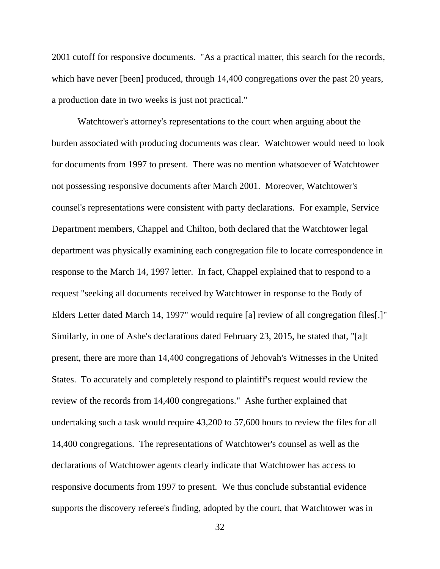2001 cutoff for responsive documents. "As a practical matter, this search for the records, which have never [been] produced, through  $14,400$  congregations over the past 20 years, a production date in two weeks is just not practical."

Watchtower's attorney's representations to the court when arguing about the burden associated with producing documents was clear. Watchtower would need to look for documents from 1997 to present. There was no mention whatsoever of Watchtower not possessing responsive documents after March 2001. Moreover, Watchtower's counsel's representations were consistent with party declarations. For example, Service Department members, Chappel and Chilton, both declared that the Watchtower legal department was physically examining each congregation file to locate correspondence in response to the March 14, 1997 letter. In fact, Chappel explained that to respond to a request "seeking all documents received by Watchtower in response to the Body of Elders Letter dated March 14, 1997" would require [a] review of all congregation files[.]" Similarly, in one of Ashe's declarations dated February 23, 2015, he stated that, "[a]t present, there are more than 14,400 congregations of Jehovah's Witnesses in the United States. To accurately and completely respond to plaintiff's request would review the review of the records from 14,400 congregations." Ashe further explained that undertaking such a task would require 43,200 to 57,600 hours to review the files for all 14,400 congregations. The representations of Watchtower's counsel as well as the declarations of Watchtower agents clearly indicate that Watchtower has access to responsive documents from 1997 to present. We thus conclude substantial evidence supports the discovery referee's finding, adopted by the court, that Watchtower was in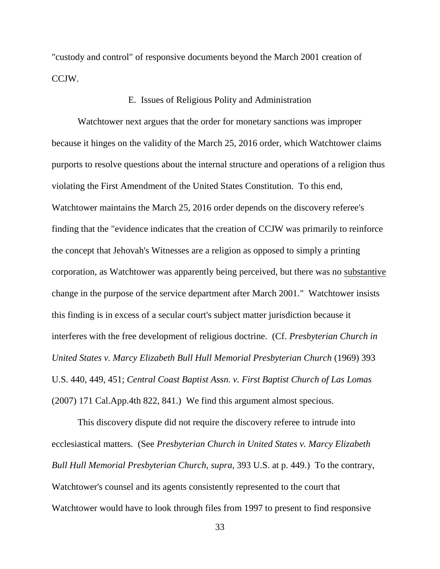"custody and control" of responsive documents beyond the March 2001 creation of CCJW.

### E. Issues of Religious Polity and Administration

Watchtower next argues that the order for monetary sanctions was improper because it hinges on the validity of the March 25, 2016 order, which Watchtower claims purports to resolve questions about the internal structure and operations of a religion thus violating the First Amendment of the United States Constitution. To this end, Watchtower maintains the March 25, 2016 order depends on the discovery referee's finding that the "evidence indicates that the creation of CCJW was primarily to reinforce the concept that Jehovah's Witnesses are a religion as opposed to simply a printing corporation, as Watchtower was apparently being perceived, but there was no substantive change in the purpose of the service department after March 2001." Watchtower insists this finding is in excess of a secular court's subject matter jurisdiction because it interferes with the free development of religious doctrine. (Cf. *Presbyterian Church in United States v. Marcy Elizabeth Bull Hull Memorial Presbyterian Church* (1969) 393 U.S. 440, 449, 451; *Central Coast Baptist Assn. v. First Baptist Church of Las Lomas* (2007) 171 Cal.App.4th 822, 841.) We find this argument almost specious.

This discovery dispute did not require the discovery referee to intrude into ecclesiastical matters. (See *Presbyterian Church in United States v. Marcy Elizabeth Bull Hull Memorial Presbyterian Church, supra,* 393 U.S. at p. 449.) To the contrary, Watchtower's counsel and its agents consistently represented to the court that Watchtower would have to look through files from 1997 to present to find responsive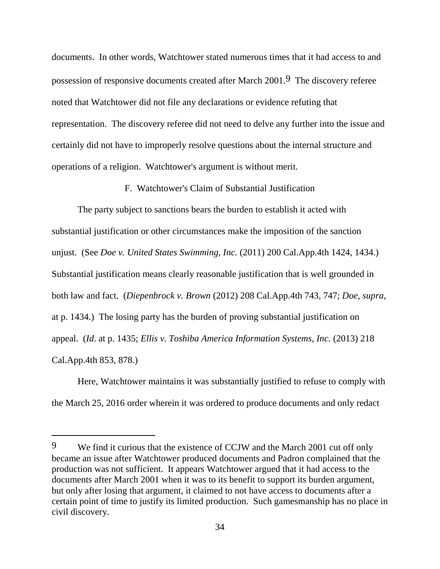documents. In other words, Watchtower stated numerous times that it had access to and possession of responsive documents created after March 2001.9 The discovery referee noted that Watchtower did not file any declarations or evidence refuting that representation. The discovery referee did not need to delve any further into the issue and certainly did not have to improperly resolve questions about the internal structure and operations of a religion. Watchtower's argument is without merit.

F. Watchtower's Claim of Substantial Justification

The party subject to sanctions bears the burden to establish it acted with substantial justification or other circumstances make the imposition of the sanction unjust. (See *Doe v. United States Swimming, Inc.* (2011) 200 Cal.App.4th 1424, 1434.) Substantial justification means clearly reasonable justification that is well grounded in both law and fact. (*Diepenbrock v. Brown* (2012) 208 Cal.App.4th 743, 747; *Doe, supra,*  at p. 1434.) The losing party has the burden of proving substantial justification on appeal. (*Id*. at p. 1435; *Ellis v. Toshiba America Information Systems, Inc.* (2013) 218 Cal.App.4th 853, 878.)

Here, Watchtower maintains it was substantially justified to refuse to comply with the March 25, 2016 order wherein it was ordered to produce documents and only redact

<sup>9</sup> We find it curious that the existence of CCJW and the March 2001 cut off only became an issue after Watchtower produced documents and Padron complained that the production was not sufficient. It appears Watchtower argued that it had access to the documents after March 2001 when it was to its benefit to support its burden argument, but only after losing that argument, it claimed to not have access to documents after a certain point of time to justify its limited production. Such gamesmanship has no place in civil discovery.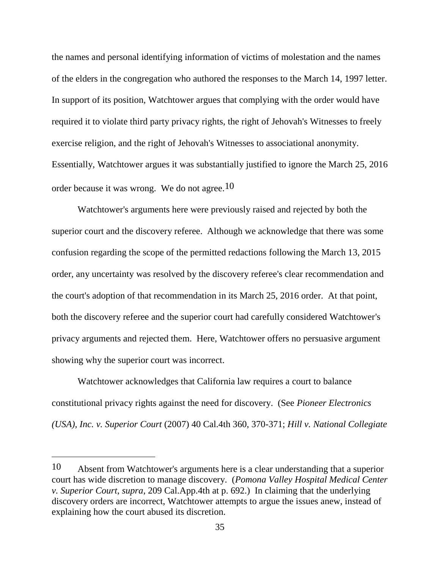the names and personal identifying information of victims of molestation and the names of the elders in the congregation who authored the responses to the March 14, 1997 letter. In support of its position, Watchtower argues that complying with the order would have required it to violate third party privacy rights, the right of Jehovah's Witnesses to freely exercise religion, and the right of Jehovah's Witnesses to associational anonymity. Essentially, Watchtower argues it was substantially justified to ignore the March 25, 2016 order because it was wrong. We do not agree.10

Watchtower's arguments here were previously raised and rejected by both the superior court and the discovery referee. Although we acknowledge that there was some confusion regarding the scope of the permitted redactions following the March 13, 2015 order, any uncertainty was resolved by the discovery referee's clear recommendation and the court's adoption of that recommendation in its March 25, 2016 order. At that point, both the discovery referee and the superior court had carefully considered Watchtower's privacy arguments and rejected them. Here, Watchtower offers no persuasive argument showing why the superior court was incorrect.

Watchtower acknowledges that California law requires a court to balance constitutional privacy rights against the need for discovery. (See *Pioneer Electronics (USA), Inc. v. Superior Court* (2007) 40 Cal.4th 360, 370-371; *Hill v. National Collegiate* 

<sup>10</sup> Absent from Watchtower's arguments here is a clear understanding that a superior court has wide discretion to manage discovery. (*Pomona Valley Hospital Medical Center v. Superior Court*, *supra*, 209 Cal.App.4th at p. 692.) In claiming that the underlying discovery orders are incorrect, Watchtower attempts to argue the issues anew, instead of explaining how the court abused its discretion.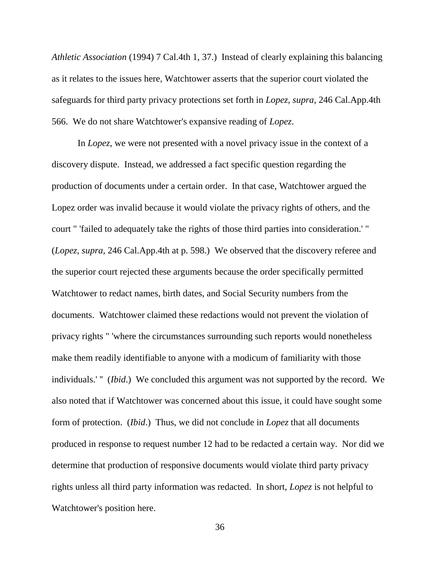*Athletic Association* (1994) 7 Cal.4th 1, 37.) Instead of clearly explaining this balancing as it relates to the issues here, Watchtower asserts that the superior court violated the safeguards for third party privacy protections set forth in *Lopez*, *supra*, 246 Cal.App.4th 566. We do not share Watchtower's expansive reading of *Lopez*.

In *Lopez*, we were not presented with a novel privacy issue in the context of a discovery dispute. Instead, we addressed a fact specific question regarding the production of documents under a certain order. In that case, Watchtower argued the Lopez order was invalid because it would violate the privacy rights of others, and the court " 'failed to adequately take the rights of those third parties into consideration.' " (*Lopez*, *supra*, 246 Cal.App.4th at p. 598.) We observed that the discovery referee and the superior court rejected these arguments because the order specifically permitted Watchtower to redact names, birth dates, and Social Security numbers from the documents. Watchtower claimed these redactions would not prevent the violation of privacy rights " 'where the circumstances surrounding such reports would nonetheless make them readily identifiable to anyone with a modicum of familiarity with those individuals.' " *(Ibid.)* We concluded this argument was not supported by the record. We also noted that if Watchtower was concerned about this issue, it could have sought some form of protection. (*Ibid*.) Thus, we did not conclude in *Lopez* that all documents produced in response to request number 12 had to be redacted a certain way. Nor did we determine that production of responsive documents would violate third party privacy rights unless all third party information was redacted. In short, *Lopez* is not helpful to Watchtower's position here.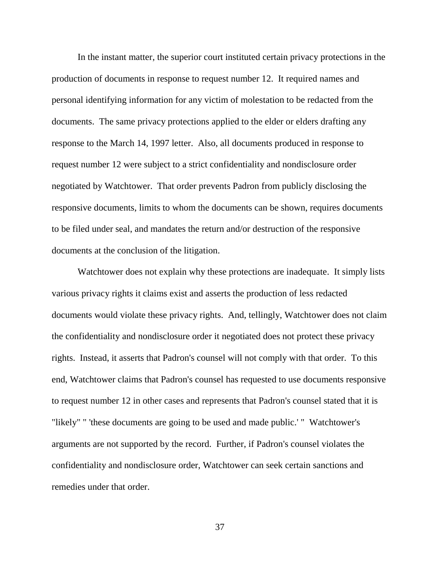In the instant matter, the superior court instituted certain privacy protections in the production of documents in response to request number 12. It required names and personal identifying information for any victim of molestation to be redacted from the documents. The same privacy protections applied to the elder or elders drafting any response to the March 14, 1997 letter. Also, all documents produced in response to request number 12 were subject to a strict confidentiality and nondisclosure order negotiated by Watchtower. That order prevents Padron from publicly disclosing the responsive documents, limits to whom the documents can be shown, requires documents to be filed under seal, and mandates the return and/or destruction of the responsive documents at the conclusion of the litigation.

Watchtower does not explain why these protections are inadequate. It simply lists various privacy rights it claims exist and asserts the production of less redacted documents would violate these privacy rights. And, tellingly, Watchtower does not claim the confidentiality and nondisclosure order it negotiated does not protect these privacy rights. Instead, it asserts that Padron's counsel will not comply with that order. To this end, Watchtower claims that Padron's counsel has requested to use documents responsive to request number 12 in other cases and represents that Padron's counsel stated that it is "likely" " 'these documents are going to be used and made public.' " Watchtower's arguments are not supported by the record. Further, if Padron's counsel violates the confidentiality and nondisclosure order, Watchtower can seek certain sanctions and remedies under that order.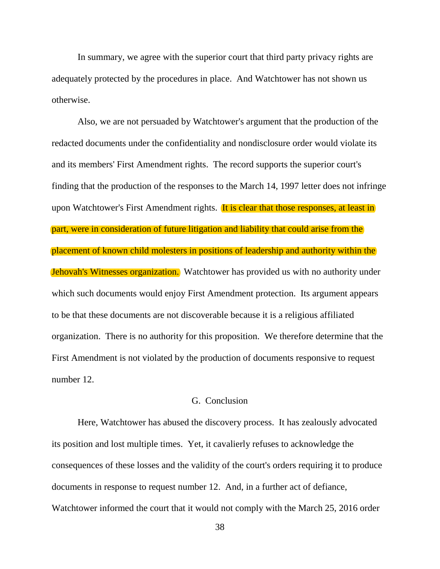In summary, we agree with the superior court that third party privacy rights are adequately protected by the procedures in place. And Watchtower has not shown us otherwise.

Also, we are not persuaded by Watchtower's argument that the production of the redacted documents under the confidentiality and nondisclosure order would violate its and its members' First Amendment rights. The record supports the superior court's finding that the production of the responses to the March 14, 1997 letter does not infringe upon Watchtower's First Amendment rights. It is clear that those responses, at least in part, were in consideration of future litigation and liability that could arise from the placement of known child molesters in positions of leadership and authority within the Jehovah's Witnesses organization. Watchtower has provided us with no authority under which such documents would enjoy First Amendment protection. Its argument appears to be that these documents are not discoverable because it is a religious affiliated organization. There is no authority for this proposition. We therefore determine that the First Amendment is not violated by the production of documents responsive to request number 12.

### G. Conclusion

Here, Watchtower has abused the discovery process. It has zealously advocated its position and lost multiple times. Yet, it cavalierly refuses to acknowledge the consequences of these losses and the validity of the court's orders requiring it to produce documents in response to request number 12. And, in a further act of defiance, Watchtower informed the court that it would not comply with the March 25, 2016 order